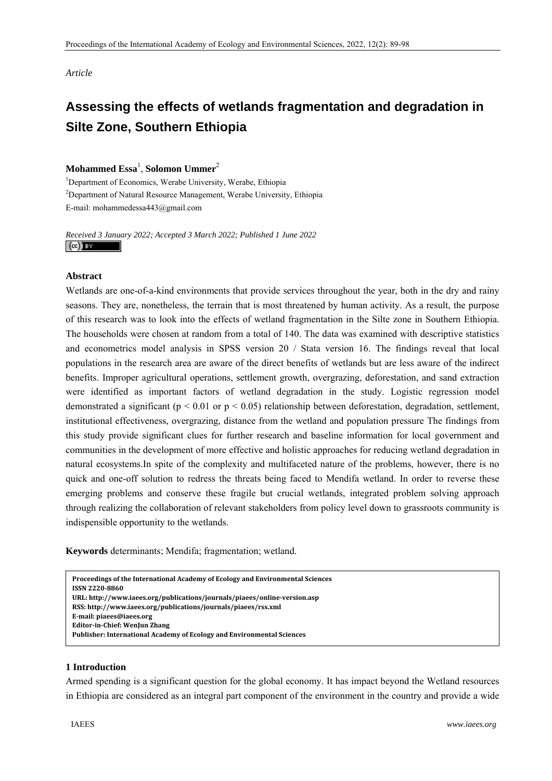*Article* 

# **Assessing the effects of wetlands fragmentation and degradation in Silte Zone, Southern Ethiopia**

# $\mathbf{Mohammed~Essa}^{1}, \mathbf{Solomon~Ummer}^{2}$

<sup>1</sup>Department of Economics, Werabe University, Werabe, Ethiopia <sup>2</sup>Department of Natural Resource Management, Werabe University, Ethiopia E-mail: mohammedessa443@gmail.com

*Received 3 January 2022; Accepted 3 March 2022; Published 1 June 2022*   $\left($ cc) BY

#### **Abstract**

Wetlands are one-of-a-kind environments that provide services throughout the year, both in the dry and rainy seasons. They are, nonetheless, the terrain that is most threatened by human activity. As a result, the purpose of this research was to look into the effects of wetland fragmentation in the Silte zone in Southern Ethiopia. The households were chosen at random from a total of 140. The data was examined with descriptive statistics and econometrics model analysis in SPSS version 20 / Stata version 16. The findings reveal that local populations in the research area are aware of the direct benefits of wetlands but are less aware of the indirect benefits. Improper agricultural operations, settlement growth, overgrazing, deforestation, and sand extraction were identified as important factors of wetland degradation in the study. Logistic regression model demonstrated a significant ( $p < 0.01$  or  $p < 0.05$ ) relationship between deforestation, degradation, settlement, institutional effectiveness, overgrazing, distance from the wetland and population pressure The findings from this study provide significant clues for further research and baseline information for local government and communities in the development of more effective and holistic approaches for reducing wetland degradation in natural ecosystems.In spite of the complexity and multifaceted nature of the problems, however, there is no quick and one-off solution to redress the threats being faced to Mendifa wetland. In order to reverse these emerging problems and conserve these fragile but crucial wetlands, integrated problem solving approach through realizing the collaboration of relevant stakeholders from policy level down to grassroots community is indispensible opportunity to the wetlands.

**Keywords** determinants; Mendifa; fragmentation; wetland.

```
1 Introduction 
EditorinChief: WenJun Zhang
 Proceedings of the International Academy of Ecology and Environmental Sciences   
 ISSN 22208860  
 URL: http://www.iaees.org/publications/journals/piaees/onlineversion.asp
 RSS: http://www.iaees.org/publications/journals/piaees/rss.xml
 Email: piaees@iaees.org
 Publisher: International Academy of Ecology and Environmental Sciences
```
## **1 Introduction**

Armed spending is a significant question for the global economy. It has impact beyond the Wetland resources in Ethiopia are considered as an integral part component of the environment in the country and provide a wide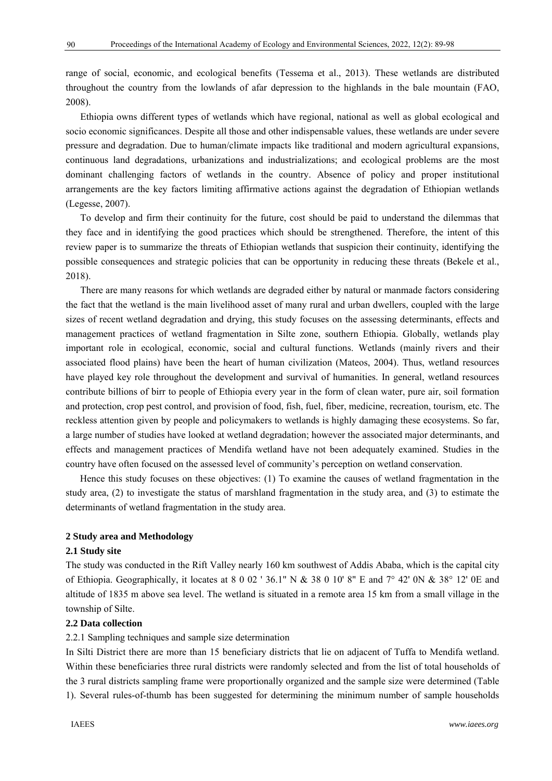range of social, economic, and ecological benefits (Tessema et al., 2013). These wetlands are distributed throughout the country from the lowlands of afar depression to the highlands in the bale mountain (FAO, 2008).

Ethiopia owns different types of wetlands which have regional, national as well as global ecological and socio economic significances. Despite all those and other indispensable values, these wetlands are under severe pressure and degradation. Due to human/climate impacts like traditional and modern agricultural expansions, continuous land degradations, urbanizations and industrializations; and ecological problems are the most dominant challenging factors of wetlands in the country. Absence of policy and proper institutional arrangements are the key factors limiting affirmative actions against the degradation of Ethiopian wetlands (Legesse, 2007).

To develop and firm their continuity for the future, cost should be paid to understand the dilemmas that they face and in identifying the good practices which should be strengthened. Therefore, the intent of this review paper is to summarize the threats of Ethiopian wetlands that suspicion their continuity, identifying the possible consequences and strategic policies that can be opportunity in reducing these threats (Bekele et al., 2018).

There are many reasons for which wetlands are degraded either by natural or manmade factors considering the fact that the wetland is the main livelihood asset of many rural and urban dwellers, coupled with the large sizes of recent wetland degradation and drying, this study focuses on the assessing determinants, effects and management practices of wetland fragmentation in Silte zone, southern Ethiopia. Globally, wetlands play important role in ecological, economic, social and cultural functions. Wetlands (mainly rivers and their associated flood plains) have been the heart of human civilization (Mateos, 2004). Thus, wetland resources have played key role throughout the development and survival of humanities. In general, wetland resources contribute billions of birr to people of Ethiopia every year in the form of clean water, pure air, soil formation and protection, crop pest control, and provision of food, fish, fuel, fiber, medicine, recreation, tourism, etc. The reckless attention given by people and policymakers to wetlands is highly damaging these ecosystems. So far, a large number of studies have looked at wetland degradation; however the associated major determinants, and effects and management practices of Mendifa wetland have not been adequately examined. Studies in the country have often focused on the assessed level of community's perception on wetland conservation.

Hence this study focuses on these objectives: (1) To examine the causes of wetland fragmentation in the study area, (2) to investigate the status of marshland fragmentation in the study area, and (3) to estimate the determinants of wetland fragmentation in the study area.

## **2 Study area and Methodology**

#### **2.1 Study site**

The study was conducted in the Rift Valley nearly 160 km southwest of Addis Ababa, which is the capital city of Ethiopia. Geographically, it locates at  $8\ 0\ 02\ 136.1$ " N &  $38\ 0\ 10\ 8$ " E and  $7^{\circ}$  42' 0N &  $38^{\circ}$  12' 0E and altitude of 1835 m above sea level. The wetland is situated in a remote area 15 km from a small village in the township of Silte.

#### **2.2 Data collection**

#### 2.2.1 Sampling techniques and sample size determination

In Silti District there are more than 15 beneficiary districts that lie on adjacent of Tuffa to Mendifa wetland. Within these beneficiaries three rural districts were randomly selected and from the list of total households of the 3 rural districts sampling frame were proportionally organized and the sample size were determined (Table 1). Several rules-of-thumb has been suggested for determining the minimum number of sample households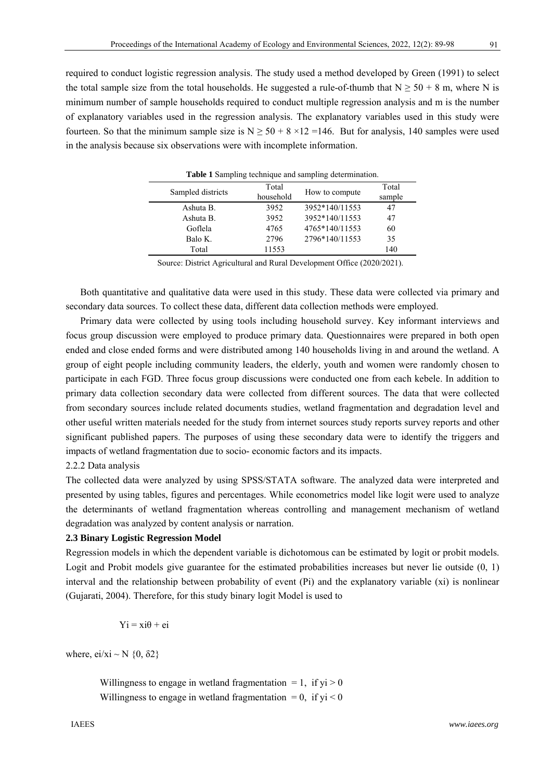required to conduct logistic regression analysis. The study used a method developed by Green (1991) to select the total sample size from the total households. He suggested a rule-of-thumb that  $N \ge 50 + 8$  m, where N is minimum number of sample households required to conduct multiple regression analysis and m is the number of explanatory variables used in the regression analysis. The explanatory variables used in this study were fourteen. So that the minimum sample size is  $N \ge 50 + 8 \times 12 = 146$ . But for analysis, 140 samples were used in the analysis because six observations were with incomplete information.

| <b>Table 1</b> Sampling technique and sampling determination. |                    |                |                 |  |  |  |
|---------------------------------------------------------------|--------------------|----------------|-----------------|--|--|--|
| Sampled districts                                             | Total<br>household | How to compute | Total<br>sample |  |  |  |
| Ashuta B.                                                     | 3952               | 3952*140/11553 | 47              |  |  |  |
| Ashuta B.                                                     | 3952               | 3952*140/11553 | 47              |  |  |  |
| Goflela                                                       | 4765               | 4765*140/11553 | 60              |  |  |  |
| Balo K.                                                       | 2796               | 2796*140/11553 | 35              |  |  |  |
| Total                                                         | 11553              |                | 140             |  |  |  |

**Table 1** Sampling technique and sampling determination.

Source: District Agricultural and Rural Development Office (2020/2021).

Both quantitative and qualitative data were used in this study. These data were collected via primary and secondary data sources. To collect these data, different data collection methods were employed.

Primary data were collected by using tools including household survey. Key informant interviews and focus group discussion were employed to produce primary data. Questionnaires were prepared in both open ended and close ended forms and were distributed among 140 households living in and around the wetland. A group of eight people including community leaders, the elderly, youth and women were randomly chosen to participate in each FGD. Three focus group discussions were conducted one from each kebele. In addition to primary data collection secondary data were collected from different sources. The data that were collected from secondary sources include related documents studies, wetland fragmentation and degradation level and other useful written materials needed for the study from internet sources study reports survey reports and other significant published papers. The purposes of using these secondary data were to identify the triggers and impacts of wetland fragmentation due to socio- economic factors and its impacts.

#### 2.2.2 Data analysis

The collected data were analyzed by using SPSS/STATA software. The analyzed data were interpreted and presented by using tables, figures and percentages. While econometrics model like logit were used to analyze the determinants of wetland fragmentation whereas controlling and management mechanism of wetland degradation was analyzed by content analysis or narration.

#### **2.3 Binary Logistic Regression Model**

Regression models in which the dependent variable is dichotomous can be estimated by logit or probit models. Logit and Probit models give guarantee for the estimated probabilities increases but never lie outside (0, 1) interval and the relationship between probability of event (Pi) and the explanatory variable (xi) is nonlinear (Gujarati, 2004). Therefore, for this study binary logit Model is used to

 $Yi = xi\theta + ei$ 

where, ei/xi ~ N  $\{0, \delta_2\}$ 

Willingness to engage in wetland fragmentation  $= 1$ , if yi  $> 0$ Willingness to engage in wetland fragmentation  $= 0$ , if  $vi < 0$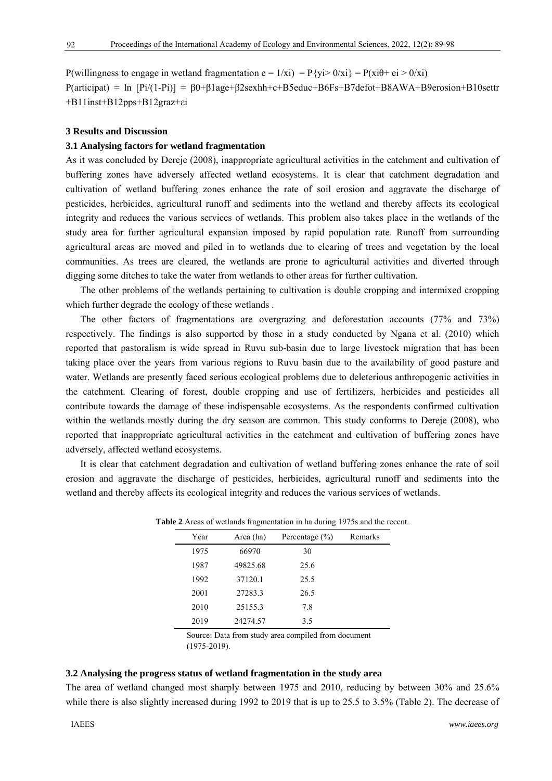P(willingness to engage in wetland fragmentation  $e = 1/xi$ ) = P{yi> 0/xi} = P(xi $\theta$ + ei > 0/xi)  $P(\text{articipat}) = \ln [Pi/(1-Pi)] = \beta 0 + \beta 1$ age+ $\beta 2$ sexhh+c+B5educ+B6Fs+B7defot+B8AWA+B9erosion+B10settr +B11inst+B12pps+B12graz+εi

## **3 Results and Discussion**

#### **3.1 Analysing factors for wetland fragmentation**

As it was concluded by Dereje (2008), inappropriate agricultural activities in the catchment and cultivation of buffering zones have adversely affected wetland ecosystems. It is clear that catchment degradation and cultivation of wetland buffering zones enhance the rate of soil erosion and aggravate the discharge of pesticides, herbicides, agricultural runoff and sediments into the wetland and thereby affects its ecological integrity and reduces the various services of wetlands. This problem also takes place in the wetlands of the study area for further agricultural expansion imposed by rapid population rate. Runoff from surrounding agricultural areas are moved and piled in to wetlands due to clearing of trees and vegetation by the local communities. As trees are cleared, the wetlands are prone to agricultural activities and diverted through digging some ditches to take the water from wetlands to other areas for further cultivation.

The other problems of the wetlands pertaining to cultivation is double cropping and intermixed cropping which further degrade the ecology of these wetlands .

The other factors of fragmentations are overgrazing and deforestation accounts (77% and 73%) respectively. The findings is also supported by those in a study conducted by Ngana et al. (2010) which reported that pastoralism is wide spread in Ruvu sub-basin due to large livestock migration that has been taking place over the years from various regions to Ruvu basin due to the availability of good pasture and water. Wetlands are presently faced serious ecological problems due to deleterious anthropogenic activities in the catchment. Clearing of forest, double cropping and use of fertilizers, herbicides and pesticides all contribute towards the damage of these indispensable ecosystems. As the respondents confirmed cultivation within the wetlands mostly during the dry season are common. This study conforms to Dereje (2008), who reported that inappropriate agricultural activities in the catchment and cultivation of buffering zones have adversely, affected wetland ecosystems.

It is clear that catchment degradation and cultivation of wetland buffering zones enhance the rate of soil erosion and aggravate the discharge of pesticides, herbicides, agricultural runoff and sediments into the wetland and thereby affects its ecological integrity and reduces the various services of wetlands.

|      | ~         | ~                  |         |
|------|-----------|--------------------|---------|
| Year | Area (ha) | Percentage $(\% )$ | Remarks |
| 1975 | 66970     | 30                 |         |
| 1987 | 49825.68  | 25.6               |         |
| 1992 | 37120.1   | 25.5               |         |
| 2001 | 27283.3   | 26.5               |         |
| 2010 | 25155.3   | 7.8                |         |
| 2019 | 24274.57  | 3.5                |         |
|      |           |                    |         |

**Table 2** Areas of wetlands fragmentation in ha during 1975s and the recent.

Source: Data from study area compiled from document (1975-2019).

## **3.2 Analysing the progress status of wetland fragmentation in the study area**

The area of wetland changed most sharply between 1975 and 2010, reducing by between 30% and 25.6% while there is also slightly increased during 1992 to 2019 that is up to 25.5 to 3.5% (Table 2). The decrease of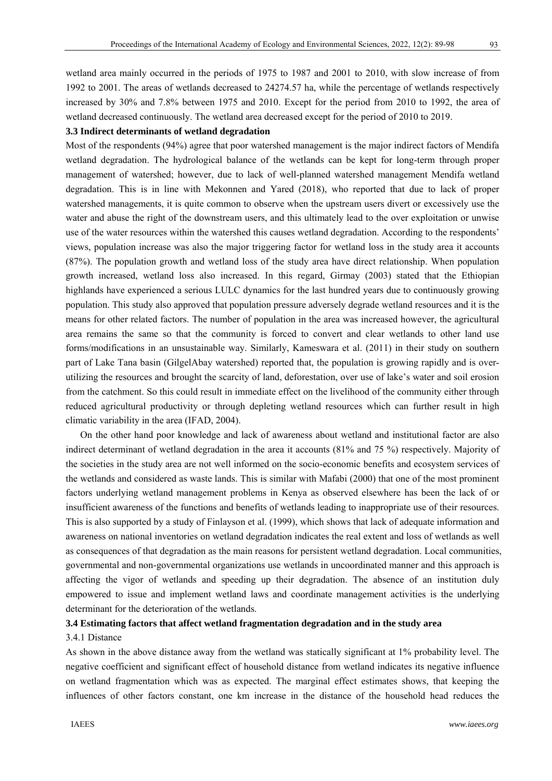wetland area mainly occurred in the periods of 1975 to 1987 and 2001 to 2010, with slow increase of from 1992 to 2001. The areas of wetlands decreased to 24274.57 ha, while the percentage of wetlands respectively increased by 30% and 7.8% between 1975 and 2010. Except for the period from 2010 to 1992, the area of wetland decreased continuously. The wetland area decreased except for the period of 2010 to 2019.

## **3.3 Indirect determinants of wetland degradation**

Most of the respondents (94%) agree that poor watershed management is the major indirect factors of Mendifa wetland degradation. The hydrological balance of the wetlands can be kept for long-term through proper management of watershed; however, due to lack of well-planned watershed management Mendifa wetland degradation. This is in line with Mekonnen and Yared (2018), who reported that due to lack of proper watershed managements, it is quite common to observe when the upstream users divert or excessively use the water and abuse the right of the downstream users, and this ultimately lead to the over exploitation or unwise use of the water resources within the watershed this causes wetland degradation. According to the respondents' views, population increase was also the major triggering factor for wetland loss in the study area it accounts (87%). The population growth and wetland loss of the study area have direct relationship. When population growth increased, wetland loss also increased. In this regard, Girmay (2003) stated that the Ethiopian highlands have experienced a serious LULC dynamics for the last hundred years due to continuously growing population. This study also approved that population pressure adversely degrade wetland resources and it is the means for other related factors. The number of population in the area was increased however, the agricultural area remains the same so that the community is forced to convert and clear wetlands to other land use forms/modifications in an unsustainable way. Similarly, Kameswara et al. (2011) in their study on southern part of Lake Tana basin (GilgelAbay watershed) reported that, the population is growing rapidly and is overutilizing the resources and brought the scarcity of land, deforestation, over use of lake's water and soil erosion from the catchment. So this could result in immediate effect on the livelihood of the community either through reduced agricultural productivity or through depleting wetland resources which can further result in high climatic variability in the area (IFAD, 2004).

On the other hand poor knowledge and lack of awareness about wetland and institutional factor are also indirect determinant of wetland degradation in the area it accounts (81% and 75 %) respectively. Majority of the societies in the study area are not well informed on the socio-economic benefits and ecosystem services of the wetlands and considered as waste lands. This is similar with Mafabi (2000) that one of the most prominent factors underlying wetland management problems in Kenya as observed elsewhere has been the lack of or insufficient awareness of the functions and benefits of wetlands leading to inappropriate use of their resources. This is also supported by a study of Finlayson et al. (1999), which shows that lack of adequate information and awareness on national inventories on wetland degradation indicates the real extent and loss of wetlands as well as consequences of that degradation as the main reasons for persistent wetland degradation. Local communities, governmental and non-governmental organizations use wetlands in uncoordinated manner and this approach is affecting the vigor of wetlands and speeding up their degradation. The absence of an institution duly empowered to issue and implement wetland laws and coordinate management activities is the underlying determinant for the deterioration of the wetlands.

## **3.4 Estimating factors that affect wetland fragmentation degradation and in the study area**

## 3.4.1 Distance

As shown in the above distance away from the wetland was statically significant at 1% probability level. The negative coefficient and significant effect of household distance from wetland indicates its negative influence on wetland fragmentation which was as expected. The marginal effect estimates shows, that keeping the influences of other factors constant, one km increase in the distance of the household head reduces the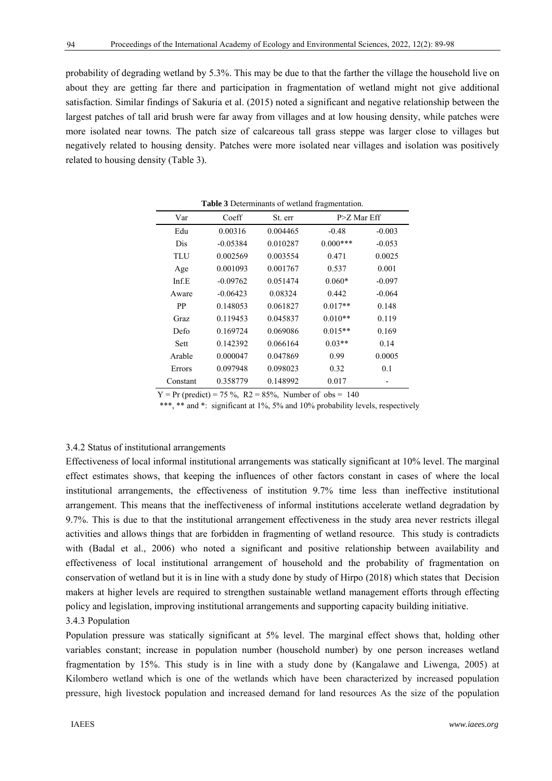probability of degrading wetland by 5.3%. This may be due to that the farther the village the household live on about they are getting far there and participation in fragmentation of wetland might not give additional satisfaction. Similar findings of Sakuria et al. (2015) noted a significant and negative relationship between the largest patches of tall arid brush were far away from villages and at low housing density, while patches were more isolated near towns. The patch size of calcareous tall grass steppe was larger close to villages but negatively related to housing density. Patches were more isolated near villages and isolation was positively related to housing density (Table 3).

| <b>Table 3</b> Determinants of wetland fragmentation. |            |          |               |          |  |  |  |  |
|-------------------------------------------------------|------------|----------|---------------|----------|--|--|--|--|
| Var                                                   | Coeff      | St. err  | $P>Z$ Mar Eff |          |  |  |  |  |
| Edu                                                   | 0.00316    | 0.004465 | $-0.48$       | $-0.003$ |  |  |  |  |
| <b>Dis</b>                                            | $-0.05384$ | 0.010287 | $0.000***$    | $-0.053$ |  |  |  |  |
| TLU                                                   | 0.002569   | 0.003554 | 0.471         | 0.0025   |  |  |  |  |
| Age                                                   | 0.001093   | 0.001767 | 0.537         | 0.001    |  |  |  |  |
| Inf.E                                                 | $-0.09762$ | 0.051474 | $0.060*$      | $-0.097$ |  |  |  |  |
| Aware                                                 | $-0.06423$ | 0.08324  | 0.442         | $-0.064$ |  |  |  |  |
| <b>PP</b>                                             | 0.148053   | 0.061827 | $0.017**$     | 0.148    |  |  |  |  |
| Graz                                                  | 0.119453   | 0.045837 | $0.010**$     | 0.119    |  |  |  |  |
| Defo                                                  | 0.169724   | 0.069086 | $0.015**$     | 0.169    |  |  |  |  |
| Sett                                                  | 0.142392   | 0.066164 | $0.03**$      | 0.14     |  |  |  |  |
| Arable                                                | 0.000047   | 0.047869 | 0.99          | 0.0005   |  |  |  |  |
| Errors                                                | 0.097948   | 0.098023 | 0.32          | 0.1      |  |  |  |  |
| Constant                                              | 0.358779   | 0.148992 | 0.017         |          |  |  |  |  |

**Table 3** Determinants of wetland fragmentation.

 $Y = Pr$  (predict) = 75 %, R2 = 85%, Number of obs = 140

\*\*\*, \*\* and \*: significant at 1%, 5% and 10% probability levels, respectively

#### 3.4.2 Status of institutional arrangements

Effectiveness of local informal institutional arrangements was statically significant at 10% level. The marginal effect estimates shows, that keeping the influences of other factors constant in cases of where the local institutional arrangements, the effectiveness of institution 9.7% time less than ineffective institutional arrangement. This means that the ineffectiveness of informal institutions accelerate wetland degradation by 9.7%. This is due to that the institutional arrangement effectiveness in the study area never restricts illegal activities and allows things that are forbidden in fragmenting of wetland resource. This study is contradicts with (Badal et al., 2006) who noted a significant and positive relationship between availability and effectiveness of local institutional arrangement of household and the probability of fragmentation on conservation of wetland but it is in line with a study done by study of Hirpo (2018) which states that Decision makers at higher levels are required to strengthen sustainable wetland management efforts through effecting policy and legislation, improving institutional arrangements and supporting capacity building initiative. 3.4.3 Population

Population pressure was statically significant at 5% level. The marginal effect shows that, holding other variables constant; increase in population number (household number) by one person increases wetland fragmentation by 15%. This study is in line with a study done by (Kangalawe and Liwenga, 2005) at Kilombero wetland which is one of the wetlands which have been characterized by increased population pressure, high livestock population and increased demand for land resources As the size of the population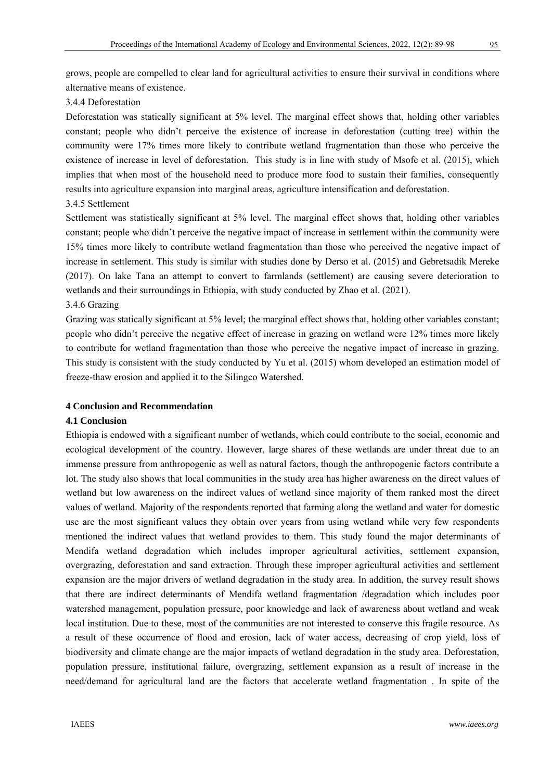grows, people are compelled to clear land for agricultural activities to ensure their survival in conditions where alternative means of existence.

## 3.4.4 Deforestation

Deforestation was statically significant at 5% level. The marginal effect shows that, holding other variables constant; people who didn't perceive the existence of increase in deforestation (cutting tree) within the community were 17% times more likely to contribute wetland fragmentation than those who perceive the existence of increase in level of deforestation. This study is in line with study of Msofe et al. (2015), which implies that when most of the household need to produce more food to sustain their families, consequently results into agriculture expansion into marginal areas, agriculture intensification and deforestation.

3.4.5 Settlement

Settlement was statistically significant at 5% level. The marginal effect shows that, holding other variables constant; people who didn't perceive the negative impact of increase in settlement within the community were 15% times more likely to contribute wetland fragmentation than those who perceived the negative impact of increase in settlement. This study is similar with studies done by Derso et al. (2015) and Gebretsadik Mereke (2017). On lake Tana an attempt to convert to farmlands (settlement) are causing severe deterioration to wetlands and their surroundings in Ethiopia, with study conducted by Zhao et al. (2021).

### 3.4.6 Grazing

Grazing was statically significant at 5% level; the marginal effect shows that, holding other variables constant; people who didn't perceive the negative effect of increase in grazing on wetland were 12% times more likely to contribute for wetland fragmentation than those who perceive the negative impact of increase in grazing. This study is consistent with the study conducted by Yu et al. (2015) whom developed an estimation model of freeze-thaw erosion and applied it to the Silingco Watershed.

### **4 Conclusion and Recommendation**

### **4.1 Conclusion**

Ethiopia is endowed with a significant number of wetlands, which could contribute to the social, economic and ecological development of the country. However, large shares of these wetlands are under threat due to an immense pressure from anthropogenic as well as natural factors, though the anthropogenic factors contribute a lot. The study also shows that local communities in the study area has higher awareness on the direct values of wetland but low awareness on the indirect values of wetland since majority of them ranked most the direct values of wetland. Majority of the respondents reported that farming along the wetland and water for domestic use are the most significant values they obtain over years from using wetland while very few respondents mentioned the indirect values that wetland provides to them. This study found the major determinants of Mendifa wetland degradation which includes improper agricultural activities, settlement expansion, overgrazing, deforestation and sand extraction. Through these improper agricultural activities and settlement expansion are the major drivers of wetland degradation in the study area. In addition, the survey result shows that there are indirect determinants of Mendifa wetland fragmentation /degradation which includes poor watershed management, population pressure, poor knowledge and lack of awareness about wetland and weak local institution. Due to these, most of the communities are not interested to conserve this fragile resource. As a result of these occurrence of flood and erosion, lack of water access, decreasing of crop yield, loss of biodiversity and climate change are the major impacts of wetland degradation in the study area. Deforestation, population pressure, institutional failure, overgrazing, settlement expansion as a result of increase in the need/demand for agricultural land are the factors that accelerate wetland fragmentation . In spite of the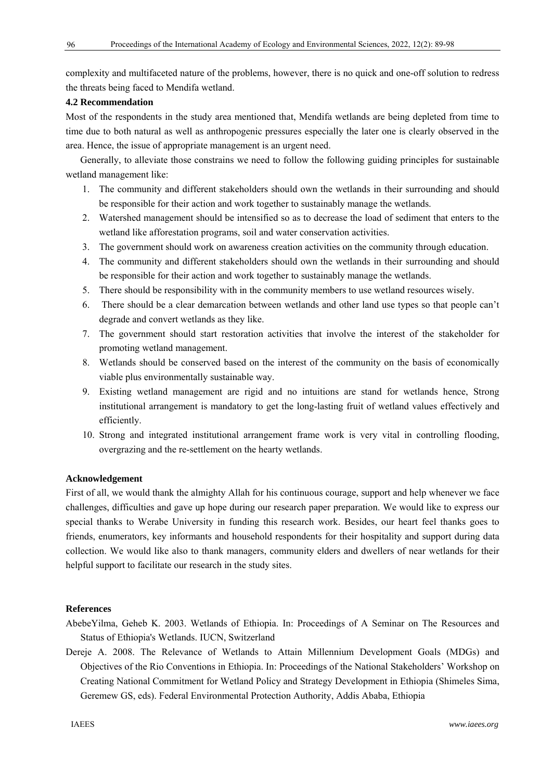complexity and multifaceted nature of the problems, however, there is no quick and one-off solution to redress the threats being faced to Mendifa wetland.

# **4.2 Recommendation**

Most of the respondents in the study area mentioned that, Mendifa wetlands are being depleted from time to time due to both natural as well as anthropogenic pressures especially the later one is clearly observed in the area. Hence, the issue of appropriate management is an urgent need.

Generally, to alleviate those constrains we need to follow the following guiding principles for sustainable wetland management like:

- 1. The community and different stakeholders should own the wetlands in their surrounding and should be responsible for their action and work together to sustainably manage the wetlands.
- 2. Watershed management should be intensified so as to decrease the load of sediment that enters to the wetland like afforestation programs, soil and water conservation activities.
- 3. The government should work on awareness creation activities on the community through education.
- 4. The community and different stakeholders should own the wetlands in their surrounding and should be responsible for their action and work together to sustainably manage the wetlands.
- 5. There should be responsibility with in the community members to use wetland resources wisely.
- 6. There should be a clear demarcation between wetlands and other land use types so that people can't degrade and convert wetlands as they like.
- 7. The government should start restoration activities that involve the interest of the stakeholder for promoting wetland management.
- 8. Wetlands should be conserved based on the interest of the community on the basis of economically viable plus environmentally sustainable way.
- 9. Existing wetland management are rigid and no intuitions are stand for wetlands hence, Strong institutional arrangement is mandatory to get the long-lasting fruit of wetland values effectively and efficiently.
- 10. Strong and integrated institutional arrangement frame work is very vital in controlling flooding, overgrazing and the re-settlement on the hearty wetlands.

# **Acknowledgement**

First of all, we would thank the almighty Allah for his continuous courage, support and help whenever we face challenges, difficulties and gave up hope during our research paper preparation. We would like to express our special thanks to Werabe University in funding this research work. Besides, our heart feel thanks goes to friends, enumerators, key informants and household respondents for their hospitality and support during data collection. We would like also to thank managers, community elders and dwellers of near wetlands for their helpful support to facilitate our research in the study sites.

# **References**

AbebeYilma, Geheb K. 2003. Wetlands of Ethiopia. In: Proceedings of A Seminar on The Resources and Status of Ethiopia's Wetlands. IUCN, Switzerland

Dereje A. 2008. The Relevance of Wetlands to Attain Millennium Development Goals (MDGs) and Objectives of the Rio Conventions in Ethiopia. In: Proceedings of the National Stakeholders' Workshop on Creating National Commitment for Wetland Policy and Strategy Development in Ethiopia (Shimeles Sima, Geremew GS, eds). Federal Environmental Protection Authority, Addis Ababa, Ethiopia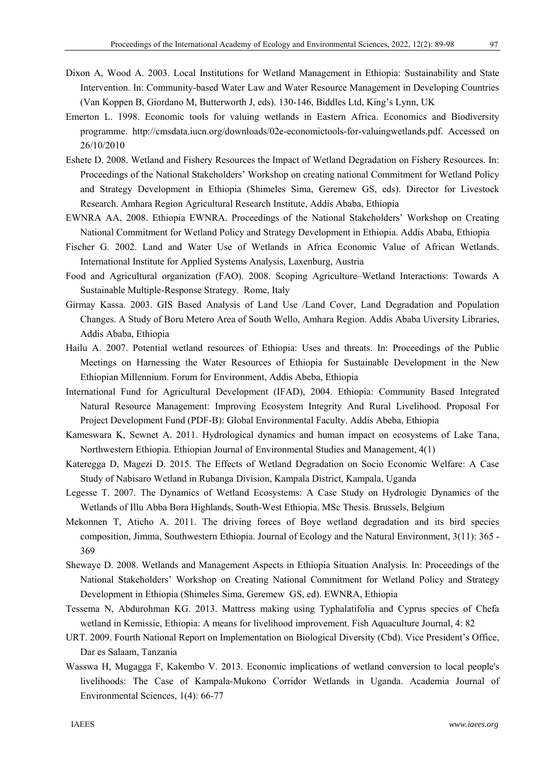- Dixon A, Wood A. 2003. Local Institutions for Wetland Management in Ethiopia: Sustainability and State Intervention. In: Community-based Water Law and Water Resource Management in Developing Countries (Van Koppen B, Giordano M, Butterworth J, eds). 130-146, Biddles Ltd, King's Lynn, UK
- Emerton L. 1998. Economic tools for valuing wetlands in Eastern Africa. Economics and Biodiversity programme. http://cmsdata.iucn.org/downloads/02e-economictools-for-valuingwetlands.pdf. Accessed on 26/10/2010
- Eshete D. 2008. Wetland and Fishery Resources the Impact of Wetland Degradation on Fishery Resources. In: Proceedings of the National Stakeholders' Workshop on creating national Commitment for Wetland Policy and Strategy Development in Ethiopia (Shimeles Sima, Geremew GS, eds). Director for Livestock Research. Amhara Region Agricultural Research Institute, Addis Ababa, Ethiopia
- EWNRA AA, 2008. Ethiopia EWNRA. Proceedings of the National Stakeholders' Workshop on Creating National Commitment for Wetland Policy and Strategy Development in Ethiopia. Addis Ababa, Ethiopia
- Fischer G. 2002. Land and Water Use of Wetlands in Africa Economic Value of African Wetlands. International Institute for Applied Systems Analysis, Laxenburg, Austria
- Food and Agricultural organization (FAO). 2008. Scoping Agriculture–Wetland Interactions: Towards A Sustainable Multiple-Response Strategy. Rome, Italy
- Girmay Kassa. 2003. GIS Based Analysis of Land Use /Land Cover, Land Degradation and Population Changes. A Study of Boru Metero Area of South Wello, Amhara Region. Addis Ababa Uiversity Libraries, Addis Ababa, Ethiopia
- Hailu A. 2007. Potential wetland resources of Ethiopia: Uses and threats. In: Proceedings of the Public Meetings on Harnessing the Water Resources of Ethiopia for Sustainable Development in the New Ethiopian Millennium. Forum for Environment, Addis Abeba, Ethiopia
- International Fund for Agricultural Development (IFAD), 2004. Ethiopia: Community Based Integrated Natural Resource Management: Improving Ecosystem Integrity And Rural Livelihood. Proposal For Project Development Fund (PDF-B): Global Environmental Faculty. Addis Abeba, Ethiopia
- Kameswara K, Sewnet A. 2011. Hydrological dynamics and human impact on ecosystems of Lake Tana, Northwestern Ethiopia. Ethiopian Journal of Environmental Studies and Management, 4(1)
- Kateregga D, Magezi D. 2015. The Effects of Wetland Degradation on Socio Economic Welfare: A Case Study of Nabisaro Wetland in Rubanga Division, Kampala District, Kampala, Uganda
- Legesse T. 2007. The Dynamics of Wetland Ecosystems: A Case Study on Hydrologic Dynamics of the Wetlands of Illu Abba Bora Highlands, South-West Ethiopia. MSc Thesis. Brussels, Belgium
- Mekonnen T, Aticho A. 2011. The driving forces of Boye wetland degradation and its bird species composition, Jimma, Southwestern Ethiopia. Journal of Ecology and the Natural Environment, 3(11): 365 - 369
- Shewaye D. 2008. Wetlands and Management Aspects in Ethiopia Situation Analysis. In: Proceedings of the National Stakeholders' Workshop on Creating National Commitment for Wetland Policy and Strategy Development in Ethiopia (Shimeles Sima, Geremew GS, ed). EWNRA, Ethiopia
- Tessema N, Abdurohman KG. 2013. Mattress making using Typhalatifolia and Cyprus species of Chefa wetland in Kemissie, Ethiopia: A means for livelihood improvement. Fish Aquaculture Journal, 4: 82
- URT. 2009. Fourth National Report on Implementation on Biological Diversity (Cbd). Vice President's Office, Dar es Salaam, Tanzania
- Wasswa H, Mugagga F, Kakembo V. 2013. Economic implications of wetland conversion to local people's livelihoods: The Case of Kampala-Mukono Corridor Wetlands in Uganda. Academia Journal of Environmental Sciences, 1(4): 66-77